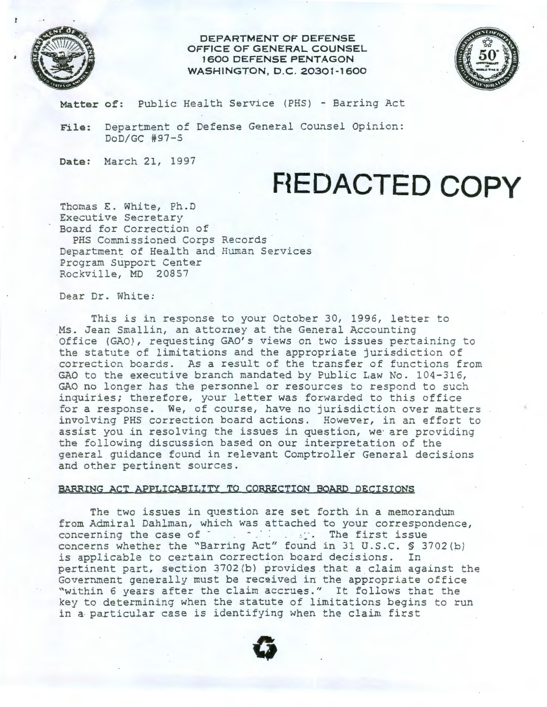

**DEPARTMENT OF DEFENSE OFFICE OF GENERAL COUNSEL 1600 DEFENSE PENTAGON WASHINGTON, D.C. 20301-1600** 



**Matter of:** Public Health Service (PHS) - Barring Act

**File:** Department of Defense General Counsel Opinion: DoD/GC #97-5

**Date:** March 21, 1997

## **F{EDACTED COPY**

Thomas E. White, Ph.D Executive Secretary Board for Correction of

PHS Commissioned Corps Records Department of Health and Human Services Program Support Center Rockville, MD 20857

Dear Dr. White:

This is in response to your October 30, 1996, letter to Ms. Jean Smallin, an attorney at the General Accounting Office (GAO), requesting GAO's views on two issues pertaining to the statute of limitations and the appropriate jurisdiction of correction boards. As a result of the transfer of functions from GAO to the executive branch mandated by Public Law No. 104-316, GAO no longer has the personnel or resources to respond to such inquiries; therefore, your letter was forwarded to this office for a response. We, of course, have no jurisdiction over matters involving PHS correction board actions. However, in an effort to assist you in resolving the issues in question, we are providing the following discussion based on our interpretation of the general guidance found in relevant Comptroller General decisions and other pertinent sources.

## **BARRING ACT APPLICABILITY TO CORRECTION BOARD DECISIONS**

The two issues in question are set forth in a memorandum from Admiral Dahlman, which was attached to your correspondence, concerning the case of  $\cdot$  .  $\cdot$  .  $\cdot$  . The first issue concerns whether the "Barring Act" found in 31 U.S.C. \$ 3702 (b) is applicable to certain correction board decisions. In pertinent part, section 3702(b) provides that a claim against the Government generally must be received in the appropriate office "within 6 years after the claim accrues." It follows that the key to determining when the statute of limitations begins to run in a· particular case is identifying when the claim first

**G**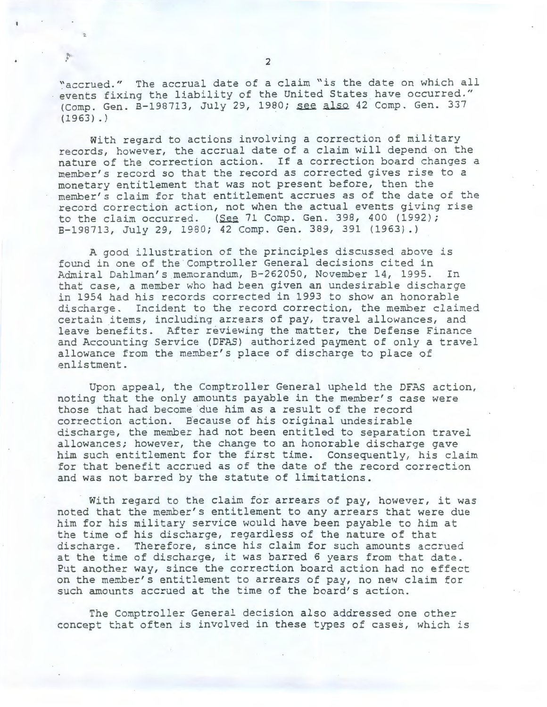"accrued." The accrual date of a claim "is the date on which all events fixing the liability of the United States have occurred." (Comp. Gen. B-198713, July 29, 1980; see also 42 Comp. Gen. 337  $(1963)$ .)

With regard to actions involving a correction of military records, however, the accrual date of a claim will depend on the nature of the correction action. If a correction board changes a member's record so that the record as corrected gives rise to a monetary entitlement that was not present before, then the member's claim for that entitlement accrues as of the date of the record correction action, not when the actual events giving rise to the claim occurred. (See 71 Comp. Gen. 398, 400 (1992); B-198713, July 29, 1980; 42 Comp. Gen. 389, 391 (1963).)

A good illustration of the principles discussed above is found in one of the Comptroller General decisions cited in Admiral Dahlman's memorandum, B-262050, November 14, 1995. In that case, a member who had been given an undesirable discharge in 1954 had his records corrected in 1993 to show an honorable discharge. Incident to the record correction, the member claimed certain items, including arrears of pay, travel allowances, and leave benefits. After reviewing the matter, the Defense Finance and Accounting Service (DFAS) authorized payment of only a travel allowance from the member's place of discharge to place of enlistment.

Upon appeal, the Comptroller General upheld the DFAS action, noting that the only amounts payable in the member's case were those that had become due him as a result of the record correction action. Because of his original undesirable discharge, the member had not been entitled to separation travel allowances; however, the change to an honorable discharge gave him such entitlement for the first time. Consequently, his claim for that benefit accrued as of the date of the record correction and was not barred by the statute of limitations.

With regard to the claim for arrears of pay, however, it was noted that the member's entitlement to any arrears that were due him for his military service would have been payable to him at the time of his discharge, regardless of the nature of that discharge. Therefore, since his claim for such amounts accrued at the time of discharge, it was barred 6 years from that date. Put another way, since the correction board action had no effect on the member's entitlement to arrears of pay, no new claim for such amounts accrued at the time of the board's action.

The Comptroller General decision also addressed one other concept that often is involved in these types of cases, which is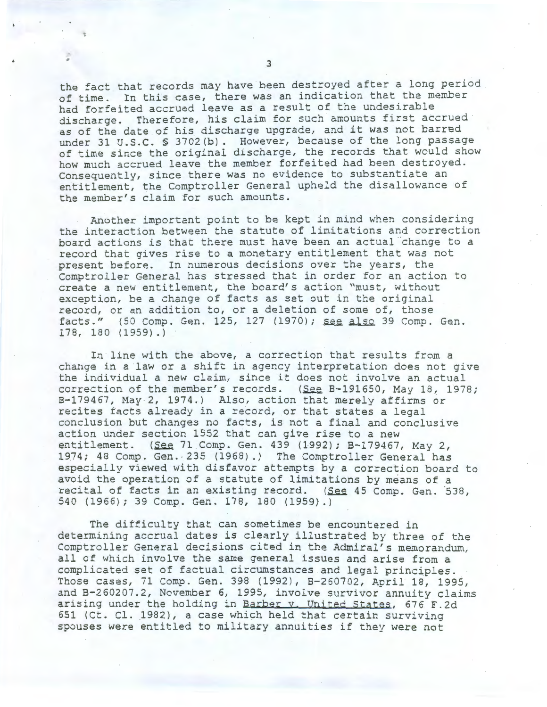the fact that records may have been destroyed after a long period of time. In this case, there was an indication that the member had forfeited accrued leave as a result of the undesirable discharge. Therefore, his claim for such amounts first accrued as of the date of his discharge upgrade, and it was not barred under 31 U.S.C. § 3702(b). However, because of the long passage of time since the original discharge, the records that would show how much accrued leave the member forfeited had been destroyed. Consequently, since there was no evidence to substantiate an entitlement, the Comptroller General upheld the disallowance of the member's claim for such amounts.

Another important point to be kept in mind when considering the interaction between the statute of limitations and correction board actions is that there must have been an actual change to a record that gives rise to a monetary entitlement that was not present before. In numerous decisions over the years, the Comptroller General has stressed that in order for an action to create a new entitlement, the board's action "must, without exception, be a change of facts as set out in the original record, or an addition to, or a deletion of some of, those facts." (50 Comp. Gen. 125, 127 (1970); see also 39 Comp. Gen. 178, 180 ( 1959) . )

In line with the above, a correction that results from a change in a law or a shift in agency interpretation does not give the individual a new claim, since it does not involve an actual correction of the member's records. (See B-191650, May 18, 1978; B-179467, May 2, 1974.) Also, action that merely affirms or recites facts already in a record, or that states a legal conclusion but changes no facts, is not a final and conclusive action under section 1552 that can give rise to a new entitlement. (See 71 Comp. Gen. 439 (1992); B-179467, May 2, 1974; 48 Comp. Gen. · 235 (1968) .) The Comptroller General has especially viewed with disfavor attempts by a correction board to avoid the operation of a statute of limitations by means of a recital of facts in an existing record. (See 45 Comp. Gen. 538, 540 (1966); 39 Comp. Gen. 178, 180 (1959) .)

The difficulty that can sometimes be encountered in determining accrual dates is clearly illustrated by three of the Comptroller General decisions cited in the Admiral's memorandum, all of which involve the same general issues and arise from a complicated set of factual circumstances and legal principles. Those cases, 71 Comp. Gen. 398 (1992), B-260702, April 18, 1995, and B-260207.2, November 6, 1995, involve survivor annuity claims arising under the holding in Barber v. United States, 676 F.2d 651 (Ct. Cl. 1982), a case which held that certain surviving spouses were entitled to military annuities if they were not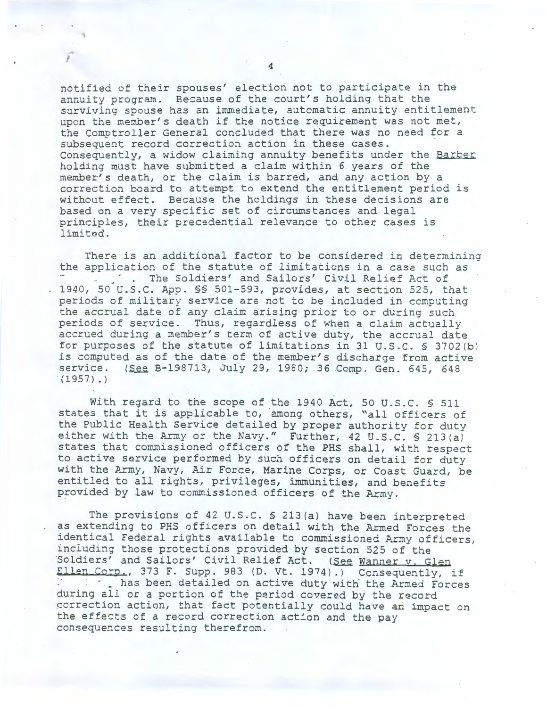notified of their spouses' election not to participate in the annuity program. Because of the court's holding that the surviving spouse has an immediate, automatic annuity entitlement upon the member's death if the notice requirement was not met, the Comptroller General concluded that there was no need for a subsequent record correction action in these cases. Consequently, a widow claiming annuity benefits under the Barber holding must have submitted a claim within 6 years of the member's death, or the claim is barred, and any action by a correction board to attempt to extend the entitlement period is without effect. Because the holdings in these decisions are based on a very specific set of circumstances and legal principles, their precedential relevance to other cases is limited.

There is an additional factor to be considered in determining the application of the statute of limitations in a case such as . The Soldiers' and Sailors' Civil Relief Act of 1940, 50 U.S.C. App. \$§ 501-593, provides, at section 525, that periods of military service are not to be included in computing the accrual date of any claim arising prior to or during such periods of service. Thus, regardless of when a claim actually accrued during a member's term of active duty, the accrual date for purposes of the statute of limitations in 31 U.S.C. § 3702(b) is computed as of the date of the member's discharge from active service. (See B-198713, July 29, 1980; 36 Comp. Gen. 645, 648  $(1957)$ .)

With regard to the scope of the 1940 Act, 50 U.S.C. \$ 511 states that it is applicable to, among others, "all officers of the Public Health Service detailed by proper authority for duty either with the Army or the Navy." Further, 42 U.S.C.  $\frac{1}{2}$  213 (a) states that commissioned officers of the PHS shall, with respect to active service performed by such officers on detail for duty with the Army, Navy, Air Force, Marine Corps, or Coast Guard, be entitled to all rights, privileges, immunities, and benefits provided by law to commissioned officers of the Army.

The provisions of 42 U.S.C. § 213(a) have been interpreted as extending to PHS officers on detail with the Armed Forces the identical Federal rights available to commissioned Army officers, including those protections provided by section 525 of the Soldiers' and Sailors' Civil Relief Act. (See Wanner v. Glen Ellen Corp., 373 F. Supp. 983 (D. Vt. 1974).) Consequently, if ·· - . \_ has been detailed on active duty with the Armed Forces during all or a portion of the period covered by the record correction action, that fact potentially could have an impact on the effects of a record correction action and the pay consequences resulting therefrom.

J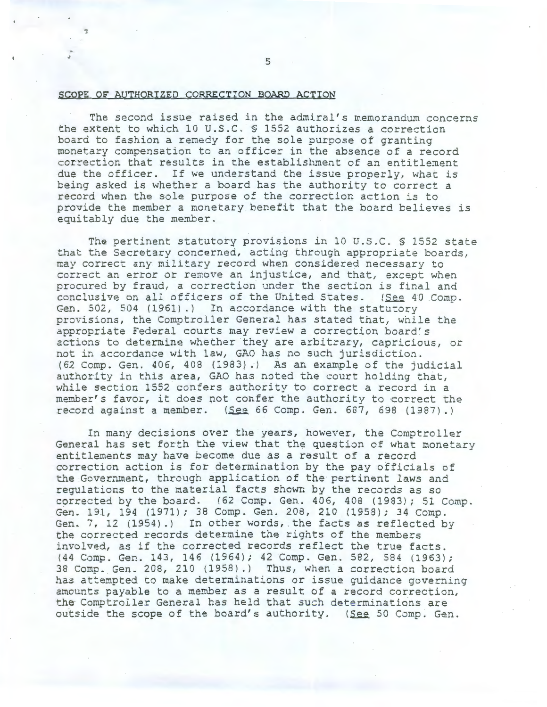## SCOPE OF AUTHORIZED CORRECTION BOARD ACTION

The second issue raised in the admiral's memorandum concerns the extent to which 10 U.S.C. § 1552 authorizes a correction board to fashion a remedy for the sole purpose of granting monetary compensation to an officer in the absence of a record correction that results in the establishment of an entitlement due the officer. If we understand the issue properly, what is being asked is whether a board has the authority to correct a record when the sole purpose of the correction action is to provide the member a monetary benefit that the board believes is equitably due the member.

The pertinent statutory provisions in 10 U.S.C. § 1552 state that the Secretary concerned, acting through appropriate boards, may correct any military record when considered necessary to correct an error or remove an injustice, and that, except when procured by fraud, a correction under the section is final and conclusive on all officers of the United States. (See 40 Comp. Gen. 502, 504 (1961).) In accordance with the statutory provisions, the Comptroller General has stated that, while the appropriate Federal courts may review a correction board's actions to determine whether they are arbitrary, capricious, or not in accordance with law, GAO has no such jurisdiction. (62 Camp. Gen. 406, 408 (1983).) As an example of the judicial authority in this area, GAO has noted the court holding that, while section 1552 confers authority to correct a record in a member's favor, it does pot confer the authority to correct the record against a member.  $(See 66 Comp. Gen. 687, 698 (1987).)$ 

In many decisions over the years, however, the Comptroller General has set forth the view that the question of what monetary entitlements may have become due as a result of a record correction action is for determination by the pay officials of the Government, through application of the pertinent laws and regulations to the material facts shown by the records as so corrected by the board.  $(62 \text{ Comp. Gen. } 406, 408 \text{ (}1983); 51 \text{ Comp.}$ Gen. 191, 194 (1971); 38 Comp. Gen. 208, 210 (1958); 34 Comp. Gen. 7, 12 (1954).) In other words, the facts as reflected by the corrected records determine the rights of the members involved, as if the corrected records reflect the true facts. (44 Comp. Gen. 143, 146 (1964); 42 Comp. Gen. 582, 584 (1963); 38 Camp. Gen. 208, 210 (1958) .) Thus, when a correction board has attempted to make determinations or issue guidance governing amounts payable to a member as a result of a record correction, the Comptroller General has held that such determinations are outside the scope of the board's authority. (See 50 Comp. Gen.